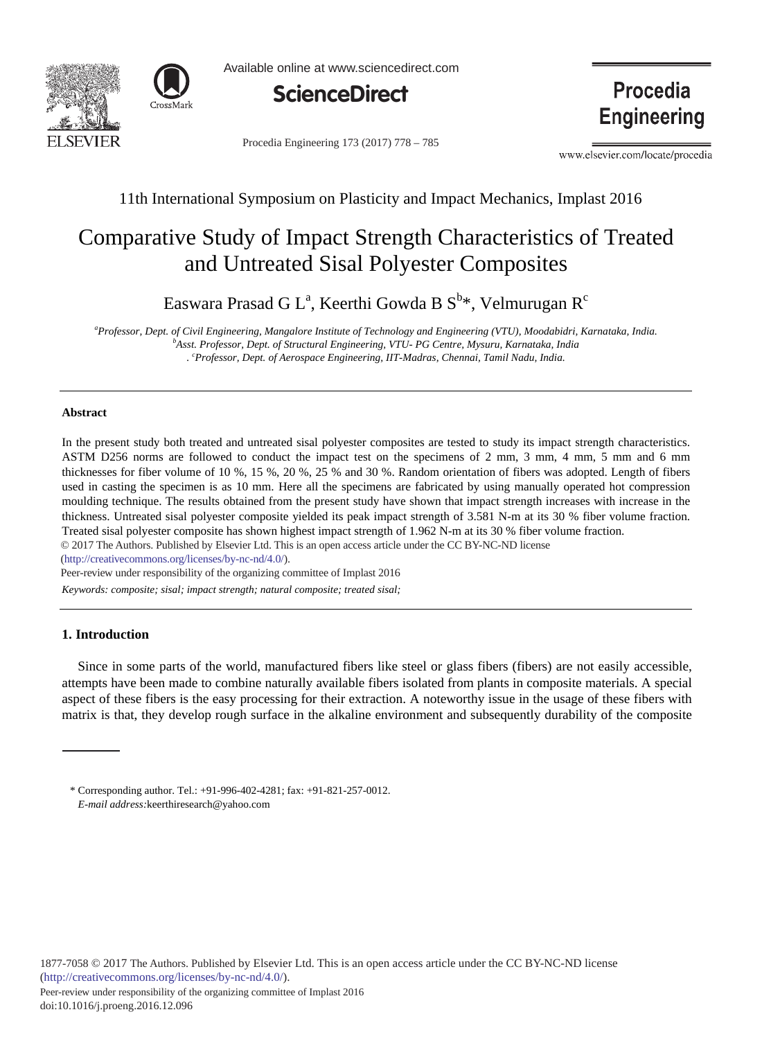



Available online at www.sciencedirect.com



Procedia Engineering 173 (2017) 778 - 785

Procedia **Engineering** 

www.elsevier.com/locate/procedia

## 11th International Symposium on Plasticity and Impact Mechanics, Implast 2016

# Comparative Study of Impact Strength Characteristics of Treated and Untreated Sisal Polyester Composites

Easwara Prasad G L $^{\rm a}$ , Keerthi Gowda B S $^{\rm b}$ \*, Velmurugan R $^{\rm c}$ 

<sup>a</sup> Professor, Dept. of Civil Engineering, Mangalore Institute of Technology and Engineering (VTU), Moodabidri, Karnataka, India.<br><sup>b</sup>Asst Professor, Dept. of Structural Engineering, VTU, PG Centre Mysuru, Karnataka, India. *Asst. Professor, Dept. of Structural Engineering, VTU- PG Centre, Mysuru, Karnataka, India . c Professor, Dept. of Aerospace Engineering, IIT-Madras, Chennai, Tamil Nadu, India.* 

### **Abstract**

In the present study both treated and untreated sisal polyester composites are tested to study its impact strength characteristics. ASTM D256 norms are followed to conduct the impact test on the specimens of 2 mm, 3 mm, 4 mm, 5 mm and 6 mm thicknesses for fiber volume of 10 %, 15 %, 20 %, 25 % and 30 %. Random orientation of fibers was adopted. Length of fibers used in casting the specimen is as 10 mm. Here all the specimens are fabricated by using manually operated hot compression moulding technique. The results obtained from the present study have shown that impact strength increases with increase in the thickness. Untreated sisal polyester composite yielded its peak impact strength of 3.581 N-m at its 30 % fiber volume fraction. Treated sisal polyester composite has shown highest impact strength of 1.962 N-m at its 30 % fiber volume fraction.

© 2016 The Authors. Published by Elsevier Ltd. © 2017 The Authors. Published by Elsevier Ltd. This is an open access article under the CC BY-NC-ND license

(http://creativecommons.org/licenses/by-nc-nd/4.0/).

Peer-review under responsibility of the organizing committee of Implast 2016

*Keywords: composite; sisal; impact strength; natural composite; treated sisal;* 

#### **1. Introduction**

Since in some parts of the world, manufactured fibers like steel or glass fibers (fibers) are not easily accessible, attempts have been made to combine naturally available fibers isolated from plants in composite materials. A special aspect of these fibers is the easy processing for their extraction. A noteworthy issue in the usage of these fibers with matrix is that, they develop rough surface in the alkaline environment and subsequently durability of the composite

<sup>\*</sup> Corresponding author. Tel.: +91-996-402-4281; fax: +91-821-257-0012. *E-mail address:*keerthiresearch@yahoo.com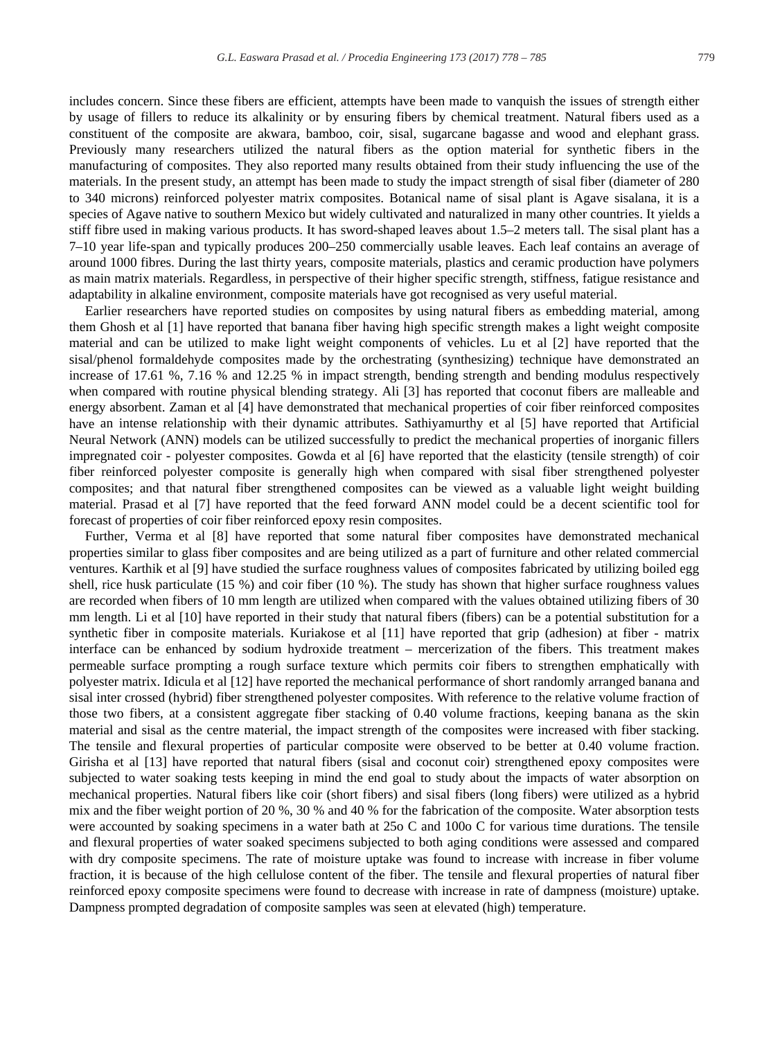includes concern. Since these fibers are efficient, attempts have been made to vanquish the issues of strength either by usage of fillers to reduce its alkalinity or by ensuring fibers by chemical treatment. Natural fibers used as a constituent of the composite are akwara, bamboo, coir, sisal, sugarcane bagasse and wood and elephant grass. Previously many researchers utilized the natural fibers as the option material for synthetic fibers in the manufacturing of composites. They also reported many results obtained from their study influencing the use of the materials. In the present study, an attempt has been made to study the impact strength of sisal fiber (diameter of 280 to 340 microns) reinforced polyester matrix composites. Botanical name of sisal plant is Agave sisalana, it is a species of Agave native to southern Mexico but widely cultivated and naturalized in many other countries. It yields a stiff fibre used in making various products. It has sword-shaped leaves about 1.5–2 meters tall. The sisal plant has a 7–10 year life-span and typically produces 200–250 commercially usable leaves. Each leaf contains an average of around 1000 fibres. During the last thirty years, composite materials, plastics and ceramic production have polymers as main matrix materials. Regardless, in perspective of their higher specific strength, stiffness, fatigue resistance and adaptability in alkaline environment, composite materials have got recognised as very useful material.

Earlier researchers have reported studies on composites by using natural fibers as embedding material, among them Ghosh et al [1] have reported that banana fiber having high specific strength makes a light weight composite material and can be utilized to make light weight components of vehicles. Lu et al [2] have reported that the sisal/phenol formaldehyde composites made by the orchestrating (synthesizing) technique have demonstrated an increase of 17.61 %, 7.16 % and 12.25 % in impact strength, bending strength and bending modulus respectively when compared with routine physical blending strategy. Ali [3] has reported that coconut fibers are malleable and energy absorbent. Zaman et al [4] have demonstrated that mechanical properties of coir fiber reinforced composites have an intense relationship with their dynamic attributes. Sathiyamurthy et al [5] have reported that Artificial Neural Network (ANN) models can be utilized successfully to predict the mechanical properties of inorganic fillers impregnated coir - polyester composites. Gowda et al [6] have reported that the elasticity (tensile strength) of coir fiber reinforced polyester composite is generally high when compared with sisal fiber strengthened polyester composites; and that natural fiber strengthened composites can be viewed as a valuable light weight building material. Prasad et al [7] have reported that the feed forward ANN model could be a decent scientific tool for forecast of properties of coir fiber reinforced epoxy resin composites.

Further, Verma et al [8] have reported that some natural fiber composites have demonstrated mechanical properties similar to glass fiber composites and are being utilized as a part of furniture and other related commercial ventures. Karthik et al [9] have studied the surface roughness values of composites fabricated by utilizing boiled egg shell, rice husk particulate (15 %) and coir fiber (10 %). The study has shown that higher surface roughness values are recorded when fibers of 10 mm length are utilized when compared with the values obtained utilizing fibers of 30 mm length. Li et al [10] have reported in their study that natural fibers (fibers) can be a potential substitution for a synthetic fiber in composite materials. Kuriakose et al [11] have reported that grip (adhesion) at fiber - matrix interface can be enhanced by sodium hydroxide treatment – mercerization of the fibers. This treatment makes permeable surface prompting a rough surface texture which permits coir fibers to strengthen emphatically with polyester matrix. Idicula et al [12] have reported the mechanical performance of short randomly arranged banana and sisal inter crossed (hybrid) fiber strengthened polyester composites. With reference to the relative volume fraction of those two fibers, at a consistent aggregate fiber stacking of 0.40 volume fractions, keeping banana as the skin material and sisal as the centre material, the impact strength of the composites were increased with fiber stacking. The tensile and flexural properties of particular composite were observed to be better at 0.40 volume fraction. Girisha et al [13] have reported that natural fibers (sisal and coconut coir) strengthened epoxy composites were subjected to water soaking tests keeping in mind the end goal to study about the impacts of water absorption on mechanical properties. Natural fibers like coir (short fibers) and sisal fibers (long fibers) were utilized as a hybrid mix and the fiber weight portion of 20 %, 30 % and 40 % for the fabrication of the composite. Water absorption tests were accounted by soaking specimens in a water bath at 25o C and 100o C for various time durations. The tensile and flexural properties of water soaked specimens subjected to both aging conditions were assessed and compared with dry composite specimens. The rate of moisture uptake was found to increase with increase in fiber volume fraction, it is because of the high cellulose content of the fiber. The tensile and flexural properties of natural fiber reinforced epoxy composite specimens were found to decrease with increase in rate of dampness (moisture) uptake. Dampness prompted degradation of composite samples was seen at elevated (high) temperature.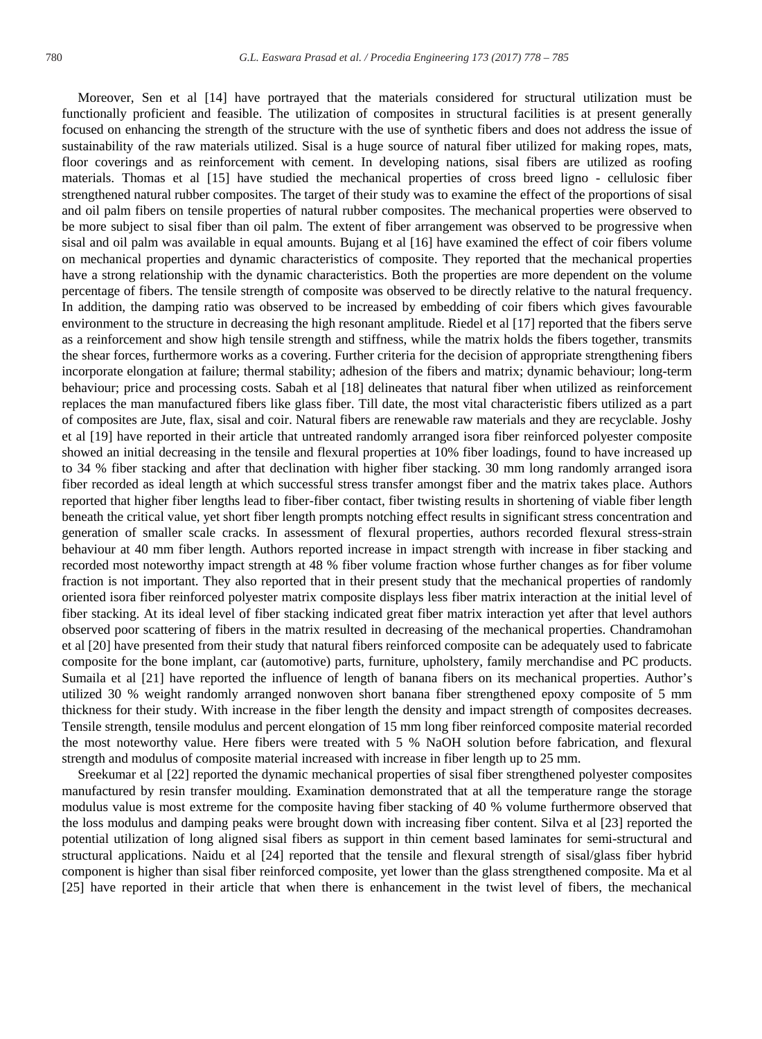Moreover, Sen et al [14] have portrayed that the materials considered for structural utilization must be functionally proficient and feasible. The utilization of composites in structural facilities is at present generally focused on enhancing the strength of the structure with the use of synthetic fibers and does not address the issue of sustainability of the raw materials utilized. Sisal is a huge source of natural fiber utilized for making ropes, mats, floor coverings and as reinforcement with cement. In developing nations, sisal fibers are utilized as roofing materials. Thomas et al [15] have studied the mechanical properties of cross breed ligno - cellulosic fiber strengthened natural rubber composites. The target of their study was to examine the effect of the proportions of sisal and oil palm fibers on tensile properties of natural rubber composites. The mechanical properties were observed to be more subject to sisal fiber than oil palm. The extent of fiber arrangement was observed to be progressive when sisal and oil palm was available in equal amounts. Bujang et al [16] have examined the effect of coir fibers volume on mechanical properties and dynamic characteristics of composite. They reported that the mechanical properties have a strong relationship with the dynamic characteristics. Both the properties are more dependent on the volume percentage of fibers. The tensile strength of composite was observed to be directly relative to the natural frequency. In addition, the damping ratio was observed to be increased by embedding of coir fibers which gives favourable environment to the structure in decreasing the high resonant amplitude. Riedel et al [17] reported that the fibers serve as a reinforcement and show high tensile strength and stiffness, while the matrix holds the fibers together, transmits the shear forces, furthermore works as a covering. Further criteria for the decision of appropriate strengthening fibers incorporate elongation at failure; thermal stability; adhesion of the fibers and matrix; dynamic behaviour; long-term behaviour; price and processing costs. Sabah et al [18] delineates that natural fiber when utilized as reinforcement replaces the man manufactured fibers like glass fiber. Till date, the most vital characteristic fibers utilized as a part of composites are Jute, flax, sisal and coir. Natural fibers are renewable raw materials and they are recyclable. Joshy et al [19] have reported in their article that untreated randomly arranged isora fiber reinforced polyester composite showed an initial decreasing in the tensile and flexural properties at 10% fiber loadings, found to have increased up to 34 % fiber stacking and after that declination with higher fiber stacking. 30 mm long randomly arranged isora fiber recorded as ideal length at which successful stress transfer amongst fiber and the matrix takes place. Authors reported that higher fiber lengths lead to fiber-fiber contact, fiber twisting results in shortening of viable fiber length beneath the critical value, yet short fiber length prompts notching effect results in significant stress concentration and generation of smaller scale cracks. In assessment of flexural properties, authors recorded flexural stress-strain behaviour at 40 mm fiber length. Authors reported increase in impact strength with increase in fiber stacking and recorded most noteworthy impact strength at 48 % fiber volume fraction whose further changes as for fiber volume fraction is not important. They also reported that in their present study that the mechanical properties of randomly oriented isora fiber reinforced polyester matrix composite displays less fiber matrix interaction at the initial level of fiber stacking. At its ideal level of fiber stacking indicated great fiber matrix interaction yet after that level authors observed poor scattering of fibers in the matrix resulted in decreasing of the mechanical properties. Chandramohan et al [20] have presented from their study that natural fibers reinforced composite can be adequately used to fabricate composite for the bone implant, car (automotive) parts, furniture, upholstery, family merchandise and PC products. Sumaila et al [21] have reported the influence of length of banana fibers on its mechanical properties. Author's utilized 30 % weight randomly arranged nonwoven short banana fiber strengthened epoxy composite of 5 mm thickness for their study. With increase in the fiber length the density and impact strength of composites decreases. Tensile strength, tensile modulus and percent elongation of 15 mm long fiber reinforced composite material recorded the most noteworthy value. Here fibers were treated with 5 % NaOH solution before fabrication, and flexural strength and modulus of composite material increased with increase in fiber length up to 25 mm.

Sreekumar et al [22] reported the dynamic mechanical properties of sisal fiber strengthened polyester composites manufactured by resin transfer moulding. Examination demonstrated that at all the temperature range the storage modulus value is most extreme for the composite having fiber stacking of 40 % volume furthermore observed that the loss modulus and damping peaks were brought down with increasing fiber content. Silva et al [23] reported the potential utilization of long aligned sisal fibers as support in thin cement based laminates for semi-structural and structural applications. Naidu et al [24] reported that the tensile and flexural strength of sisal/glass fiber hybrid component is higher than sisal fiber reinforced composite, yet lower than the glass strengthened composite. Ma et al [25] have reported in their article that when there is enhancement in the twist level of fibers, the mechanical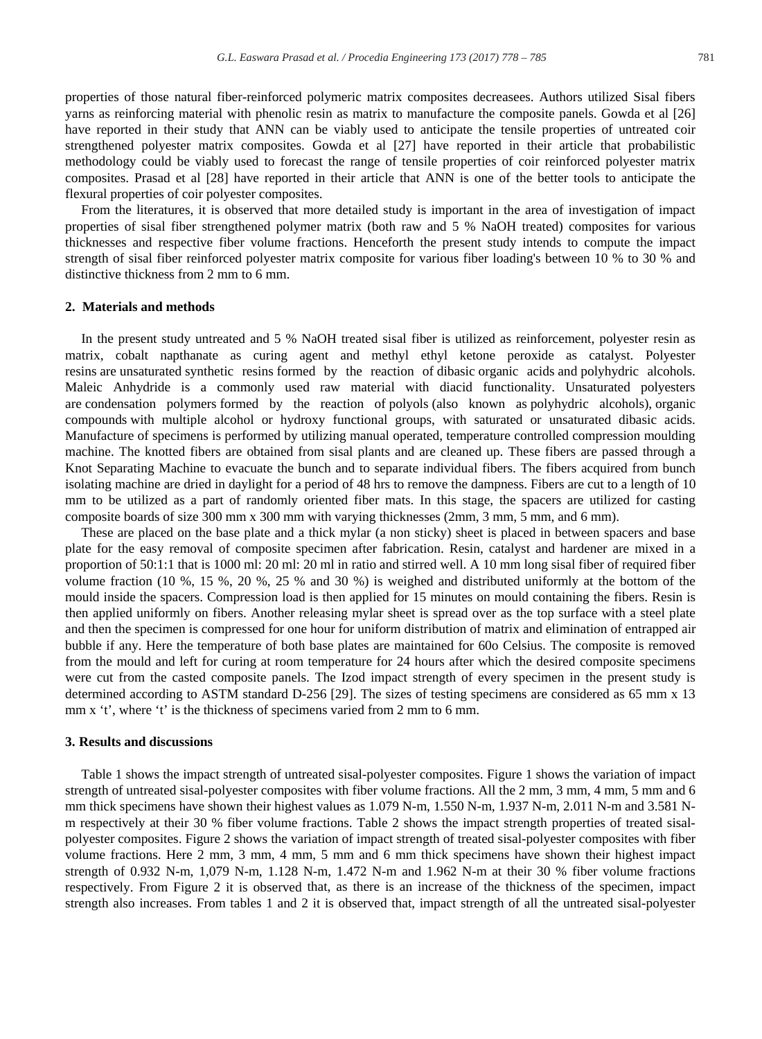properties of those natural fiber-reinforced polymeric matrix composites decreasees. Authors utilized Sisal fibers yarns as reinforcing material with phenolic resin as matrix to manufacture the composite panels. Gowda et al [26] have reported in their study that ANN can be viably used to anticipate the tensile properties of untreated coir strengthened polyester matrix composites. Gowda et al [27] have reported in their article that probabilistic methodology could be viably used to forecast the range of tensile properties of coir reinforced polyester matrix composites. Prasad et al [28] have reported in their article that ANN is one of the better tools to anticipate the flexural properties of coir polyester composites.

From the literatures, it is observed that more detailed study is important in the area of investigation of impact properties of sisal fiber strengthened polymer matrix (both raw and 5 % NaOH treated) composites for various thicknesses and respective fiber volume fractions. Henceforth the present study intends to compute the impact strength of sisal fiber reinforced polyester matrix composite for various fiber loading's between 10 % to 30 % and distinctive thickness from 2 mm to 6 mm.

#### **2. Materials and methods**

In the present study untreated and 5 % NaOH treated sisal fiber is utilized as reinforcement, polyester resin as matrix, cobalt napthanate as curing agent and methyl ethyl ketone peroxide as catalyst. Polyester resins are unsaturated synthetic resins formed by the reaction of dibasic organic acids and polyhydric alcohols. Maleic Anhydride is a commonly used raw material with diacid functionality. Unsaturated polyesters are condensation polymers formed by the reaction of polyols (also known as polyhydric alcohols), organic compounds with multiple alcohol or hydroxy functional groups, with saturated or unsaturated dibasic acids. Manufacture of specimens is performed by utilizing manual operated, temperature controlled compression moulding machine. The knotted fibers are obtained from sisal plants and are cleaned up. These fibers are passed through a Knot Separating Machine to evacuate the bunch and to separate individual fibers. The fibers acquired from bunch isolating machine are dried in daylight for a period of 48 hrs to remove the dampness. Fibers are cut to a length of 10 mm to be utilized as a part of randomly oriented fiber mats. In this stage, the spacers are utilized for casting composite boards of size 300 mm x 300 mm with varying thicknesses (2mm, 3 mm, 5 mm, and 6 mm).

These are placed on the base plate and a thick mylar (a non sticky) sheet is placed in between spacers and base plate for the easy removal of composite specimen after fabrication. Resin, catalyst and hardener are mixed in a proportion of 50:1:1 that is 1000 ml: 20 ml: 20 ml in ratio and stirred well. A 10 mm long sisal fiber of required fiber volume fraction (10 %, 15 %, 20 %, 25 % and 30 %) is weighed and distributed uniformly at the bottom of the mould inside the spacers. Compression load is then applied for 15 minutes on mould containing the fibers. Resin is then applied uniformly on fibers. Another releasing mylar sheet is spread over as the top surface with a steel plate and then the specimen is compressed for one hour for uniform distribution of matrix and elimination of entrapped air bubble if any. Here the temperature of both base plates are maintained for 60o Celsius. The composite is removed from the mould and left for curing at room temperature for 24 hours after which the desired composite specimens were cut from the casted composite panels. The Izod impact strength of every specimen in the present study is determined according to ASTM standard D-256 [29]. The sizes of testing specimens are considered as 65 mm x 13 mm x 't', where 't' is the thickness of specimens varied from 2 mm to 6 mm.

#### **3. Results and discussions**

Table 1 shows the impact strength of untreated sisal-polyester composites. Figure 1 shows the variation of impact strength of untreated sisal-polyester composites with fiber volume fractions. All the 2 mm, 3 mm, 4 mm, 5 mm and 6 mm thick specimens have shown their highest values as 1.079 N-m, 1.550 N-m, 1.937 N-m, 2.011 N-m and 3.581 Nm respectively at their 30 % fiber volume fractions. Table 2 shows the impact strength properties of treated sisalpolyester composites. Figure 2 shows the variation of impact strength of treated sisal-polyester composites with fiber volume fractions. Here 2 mm, 3 mm, 4 mm, 5 mm and 6 mm thick specimens have shown their highest impact strength of 0.932 N-m, 1,079 N-m, 1.128 N-m, 1.472 N-m and 1.962 N-m at their 30 % fiber volume fractions respectively. From Figure 2 it is observed that, as there is an increase of the thickness of the specimen, impact strength also increases. From tables 1 and 2 it is observed that, impact strength of all the untreated sisal-polyester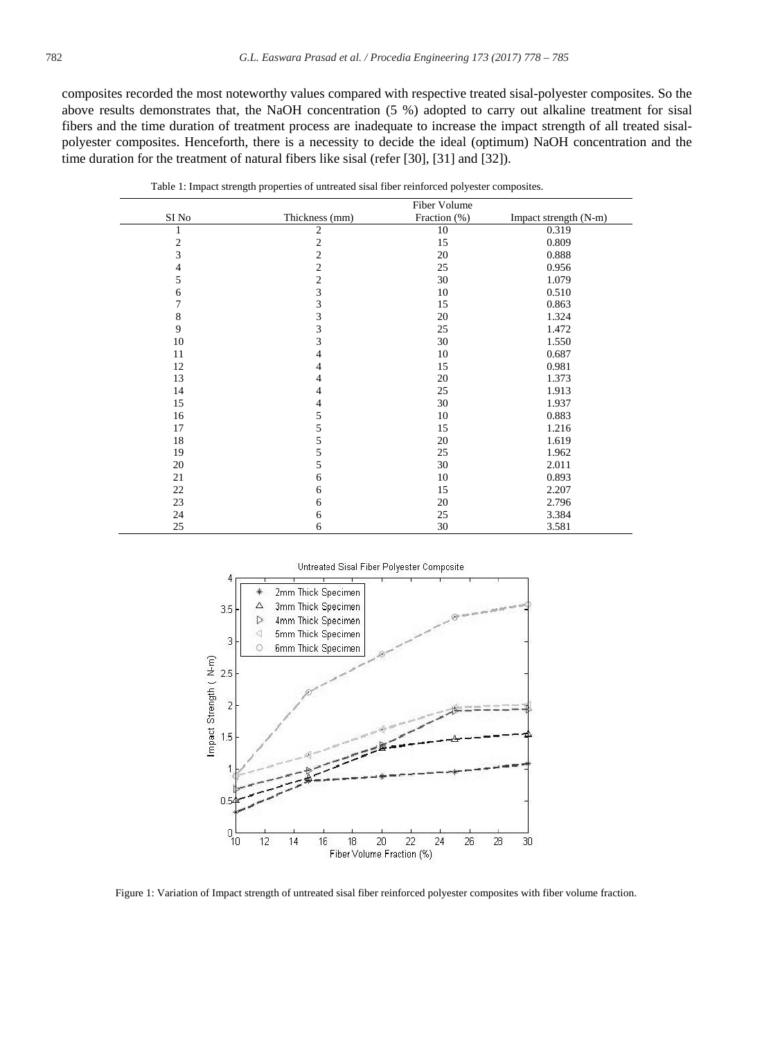composites recorded the most noteworthy values compared with respective treated sisal-polyester composites. So the above results demonstrates that, the NaOH concentration (5 %) adopted to carry out alkaline treatment for sisal fibers and the time duration of treatment process are inadequate to increase the impact strength of all treated sisalpolyester composites. Henceforth, there is a necessity to decide the ideal (optimum) NaOH concentration and the time duration for the treatment of natural fibers like sisal (refer [30], [31] and [32]).

|                | Fiber Volume   |              |                       |  |
|----------------|----------------|--------------|-----------------------|--|
| SI No          | Thickness (mm) | Fraction (%) | Impact strength (N-m) |  |
|                | $\mathfrak{2}$ | 10           | 0.319                 |  |
| $\sqrt{2}$     | $\overline{c}$ | 15           | 0.809                 |  |
| 3              | $\overline{c}$ | 20           | 0.888                 |  |
| $\overline{4}$ | $\overline{c}$ | 25           | 0.956                 |  |
| 5              | $\overline{c}$ | 30           | 1.079                 |  |
| 6              | 3              | 10           | 0.510                 |  |
| $\overline{7}$ | 3              | 15           | 0.863                 |  |
| 8              | 3              | 20           | 1.324                 |  |
| 9              | 3              | 25           | 1.472                 |  |
| 10             | 3              | 30           | 1.550                 |  |
| 11             | 4              | 10           | 0.687                 |  |
| 12             | 4              | 15           | 0.981                 |  |
| 13             | 4              | 20           | 1.373                 |  |
| 14             | 4              | 25           | 1.913                 |  |
| 15             | 4              | 30           | 1.937                 |  |
| 16             | 5              | 10           | 0.883                 |  |
| 17             | 5              | 15           | 1.216                 |  |
| 18             | 5              | 20           | 1.619                 |  |
| 19             | 5              | 25           | 1.962                 |  |
| 20             | 5              | 30           | 2.011                 |  |
| 21             | 6              | 10           | 0.893                 |  |
| 22             | 6              | 15           | 2.207                 |  |
| 23             | 6              | 20           | 2.796                 |  |
| 24             | 6              | 25           | 3.384                 |  |
| 25             | 6              | 30           | 3.581                 |  |

Table 1: Impact strength properties of untreated sisal fiber reinforced polyester composites.



Figure 1: Variation of Impact strength of untreated sisal fiber reinforced polyester composites with fiber volume fraction.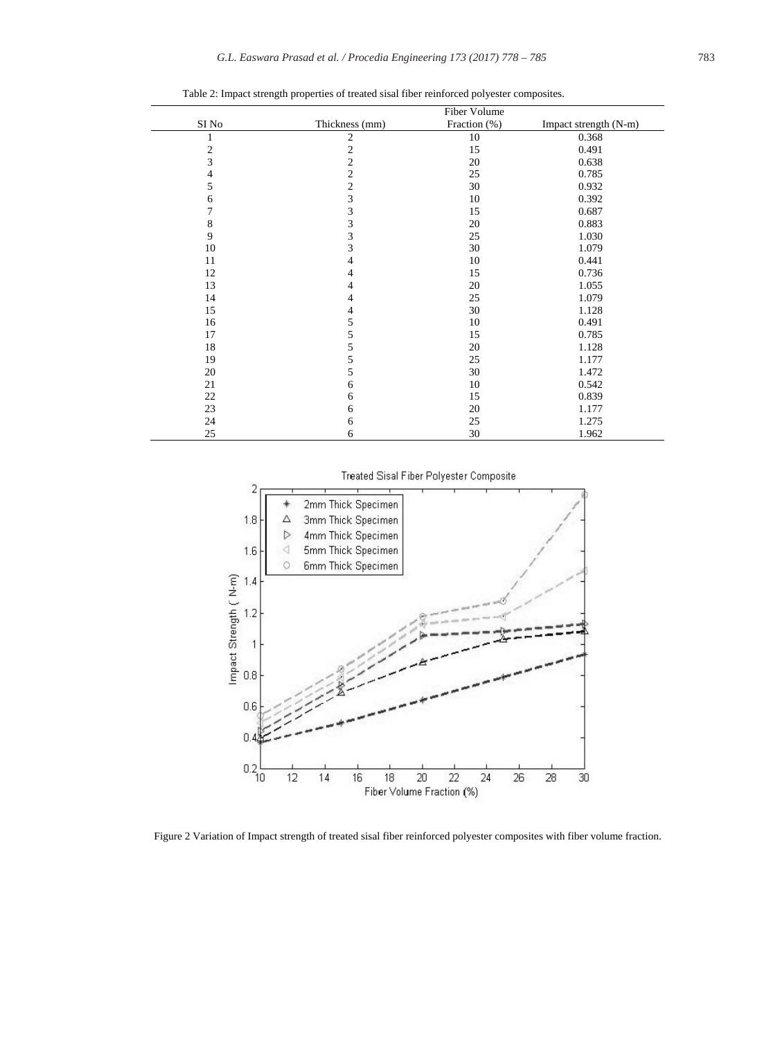|                | Fiber Volume   |              |                       |
|----------------|----------------|--------------|-----------------------|
| SI No          | Thickness (mm) | Fraction (%) | Impact strength (N-m) |
| 1              | $\mathfrak{2}$ | 10           | 0.368                 |
| $\mathbf{2}$   | $\sqrt{2}$     | 15           | 0.491                 |
| 3              | $\overline{c}$ | 20           | 0.638                 |
| $\overline{4}$ | $\overline{2}$ | 25           | 0.785                 |
| 5              | $\overline{c}$ | 30           | 0.932                 |
| 6              | 3              | 10           | 0.392                 |
| $\tau$         | $\mathfrak{Z}$ | 15           | 0.687                 |
| 8              | 3              | 20           | 0.883                 |
| 9              | 3              | 25           | 1.030                 |
| 10             | 3              | 30           | 1.079                 |
| 11             | 4              | 10           | 0.441                 |
| 12             | $\overline{4}$ | 15           | 0.736                 |
| 13             | 4              | 20           | 1.055                 |
| 14             | 4              | 25           | 1.079                 |
| 15             | 4              | 30           | 1.128                 |
| 16             | 5              | 10           | 0.491                 |
| 17             | 5              | 15           | 0.785                 |
| 18             | 5              | 20           | 1.128                 |
| 19             | 5              | 25           | 1.177                 |
| 20             | 5              | 30           | 1.472                 |
| 21             | 6              | 10           | 0.542                 |
| 22             | 6              | 15           | 0.839                 |
| 23             | 6              | 20           | 1.177                 |
| 24             | 6              | 25           | 1.275                 |
| 25             | 6              | 30           | 1.962                 |

Table 2: Impact strength properties of treated sisal fiber reinforced polyester composites.

Treated Sisal Fiber Polyester Composite



Figure 2 Variation of Impact strength of treated sisal fiber reinforced polyester composites with fiber volume fraction.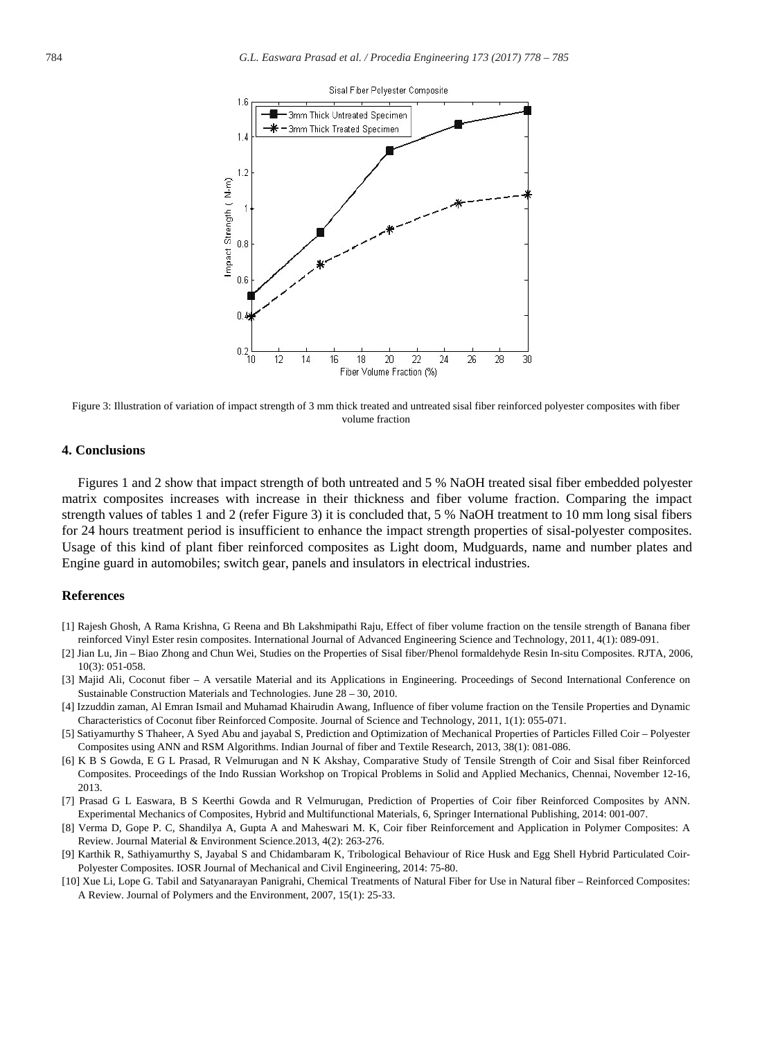

Figure 3: Illustration of variation of impact strength of 3 mm thick treated and untreated sisal fiber reinforced polyester composites with fiber volume fraction

#### **4. Conclusions**

Figures 1 and 2 show that impact strength of both untreated and 5 % NaOH treated sisal fiber embedded polyester matrix composites increases with increase in their thickness and fiber volume fraction. Comparing the impact strength values of tables 1 and 2 (refer Figure 3) it is concluded that, 5 % NaOH treatment to 10 mm long sisal fibers for 24 hours treatment period is insufficient to enhance the impact strength properties of sisal-polyester composites. Usage of this kind of plant fiber reinforced composites as Light doom, Mudguards, name and number plates and Engine guard in automobiles; switch gear, panels and insulators in electrical industries.

#### **References**

- [1] Rajesh Ghosh, A Rama Krishna, G Reena and Bh Lakshmipathi Raju, Effect of fiber volume fraction on the tensile strength of Banana fiber reinforced Vinyl Ester resin composites. International Journal of Advanced Engineering Science and Technology, 2011, 4(1): 089-091.
- [2] Jian Lu, Jin Biao Zhong and Chun Wei, Studies on the Properties of Sisal fiber/Phenol formaldehyde Resin In-situ Composites. RJTA, 2006, 10(3): 051-058.
- [3] Majid Ali, Coconut fiber A versatile Material and its Applications in Engineering. Proceedings of Second International Conference on Sustainable Construction Materials and Technologies. June 28 – 30, 2010.
- [4] Izzuddin zaman, Al Emran Ismail and Muhamad Khairudin Awang, Influence of fiber volume fraction on the Tensile Properties and Dynamic Characteristics of Coconut fiber Reinforced Composite. Journal of Science and Technology, 2011, 1(1): 055-071.
- [5] Satiyamurthy S Thaheer, A Syed Abu and jayabal S, Prediction and Optimization of Mechanical Properties of Particles Filled Coir Polyester Composites using ANN and RSM Algorithms. Indian Journal of fiber and Textile Research, 2013, 38(1): 081-086.
- [6] K B S Gowda, E G L Prasad, R Velmurugan and N K Akshay, Comparative Study of Tensile Strength of Coir and Sisal fiber Reinforced Composites. Proceedings of the Indo Russian Workshop on Tropical Problems in Solid and Applied Mechanics, Chennai, November 12-16, 2013.
- [7] Prasad G L Easwara, B S Keerthi Gowda and R Velmurugan, Prediction of Properties of Coir fiber Reinforced Composites by ANN. Experimental Mechanics of Composites, Hybrid and Multifunctional Materials, 6, Springer International Publishing, 2014: 001-007.
- [8] Verma D, Gope P. C, Shandilya A, Gupta A and Maheswari M. K, Coir fiber Reinforcement and Application in Polymer Composites: A Review. Journal Material & Environment Science.2013, 4(2): 263-276.
- [9] Karthik R, Sathiyamurthy S, Jayabal S and Chidambaram K, Tribological Behaviour of Rice Husk and Egg Shell Hybrid Particulated Coir-Polyester Composites. IOSR Journal of Mechanical and Civil Engineering, 2014: 75-80.
- [10] Xue Li, Lope G. Tabil and Satyanarayan Panigrahi, Chemical Treatments of Natural Fiber for Use in Natural fiber Reinforced Composites: A Review. Journal of Polymers and the Environment, 2007, 15(1): 25-33.